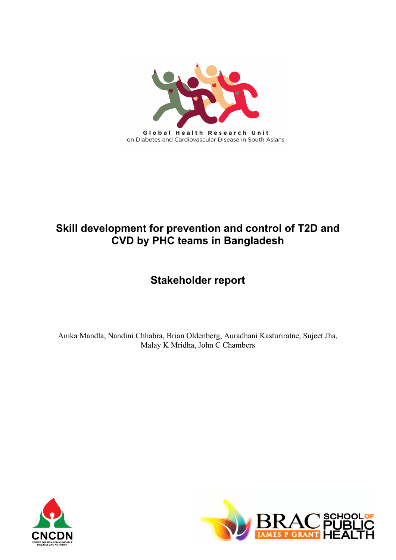

# **Skill development for prevention and control of T2D and CVD by PHC teams in Bangladesh**

# **Stakeholder report**

Anika Mandla, Nandini Chhabra, Brian Oldenberg, Auradhani Kasturiratne, Sujeet Jha, Malay K Mridha, John C Chambers



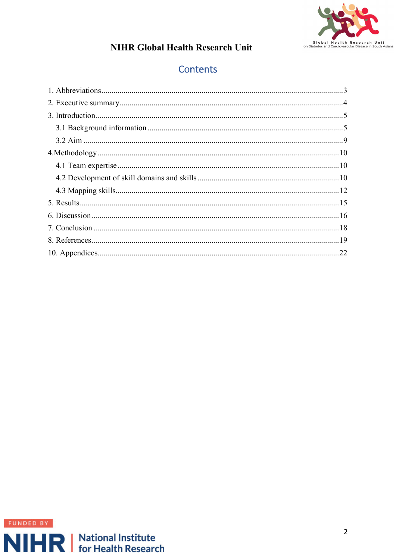

# **Contents**

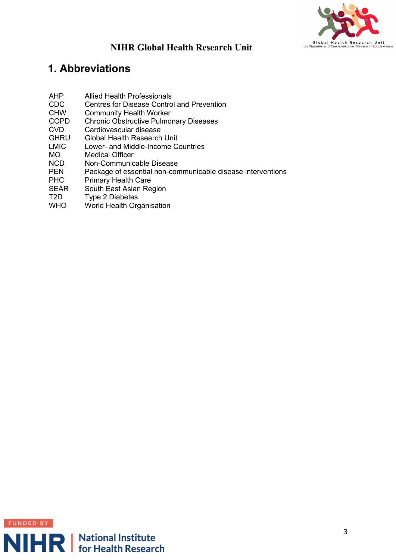

# <span id="page-2-0"></span>**1. Abbreviations**

- AHP Allied Health Professionals
- CDC Centres for Disease Control and Prevention
- CHW Community Health Worker
- COPD Chronic Obstructive Pulmonary Diseases
- CVD Cardiovascular disease
- **GHRU** Global Health Research Unit
- LMIC Lower- and Middle-Income Countries
- MO Medical Officer
- NCD Non-Communicable Disease
- PEN Package of essential non-communicable disease interventions
- PHC Primary Health Care
- SEAR South East Asian Region
- T2D Type 2 Diabetes
- WHO World Health Organisation

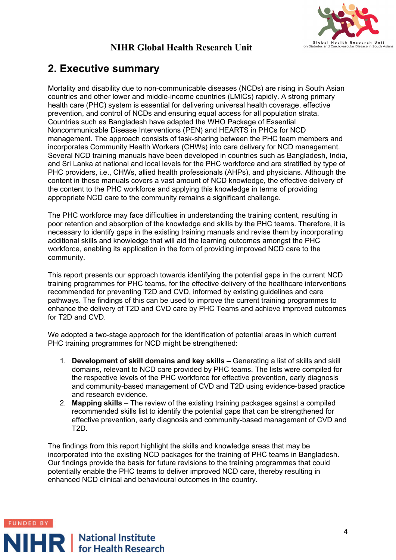

# <span id="page-3-0"></span>**2. Executive summary**

Mortality and disability due to non-communicable diseases (NCDs) are rising in South Asian countries and other lower and middle-income countries (LMICs) rapidly. A strong primary health care (PHC) system is essential for delivering universal health coverage, effective prevention, and control of NCDs and ensuring equal access for all population strata. Countries such as Bangladesh have adapted the WHO Package of Essential Noncommunicable Disease Interventions (PEN) and HEARTS in PHCs for NCD management. The approach consists of task-sharing between the PHC team members and incorporates Community Health Workers (CHWs) into care delivery for NCD management. Several NCD training manuals have been developed in countries such as Bangladesh, India, and Sri Lanka at national and local levels for the PHC workforce and are stratified by type of PHC providers, i.e., CHWs, allied health professionals (AHPs), and physicians. Although the content in these manuals covers a vast amount of NCD knowledge, the effective delivery of the content to the PHC workforce and applying this knowledge in terms of providing appropriate NCD care to the community remains a significant challenge.

The PHC workforce may face difficulties in understanding the training content, resulting in poor retention and absorption of the knowledge and skills by the PHC teams. Therefore, it is necessary to identify gaps in the existing training manuals and revise them by incorporating additional skills and knowledge that will aid the learning outcomes amongst the PHC workforce, enabling its application in the form of providing improved NCD care to the community.

This report presents our approach towards identifying the potential gaps in the current NCD training programmes for PHC teams, for the effective delivery of the healthcare interventions recommended for preventing T2D and CVD, informed by existing guidelines and care pathways. The findings of this can be used to improve the current training programmes to enhance the delivery of T2D and CVD care by PHC Teams and achieve improved outcomes for T2D and CVD.

We adopted a two-stage approach for the identification of potential areas in which current PHC training programmes for NCD might be strengthened:

- 1. **Development of skill domains and key skills –** Generating a list of skills and skill domains, relevant to NCD care provided by PHC teams. The lists were compiled for the respective levels of the PHC workforce for effective prevention, early diagnosis and community-based management of CVD and T2D using evidence-based practice and research evidence.
- 2. **Mapping skills** The review of the existing training packages against a compiled recommended skills list to identify the potential gaps that can be strengthened for effective prevention, early diagnosis and community-based management of CVD and T2D.

The findings from this report highlight the skills and knowledge areas that may be incorporated into the existing NCD packages for the training of PHC teams in Bangladesh. Our findings provide the basis for future revisions to the training programmes that could potentially enable the PHC teams to deliver improved NCD care, thereby resulting in enhanced NCD clinical and behavioural outcomes in the country.

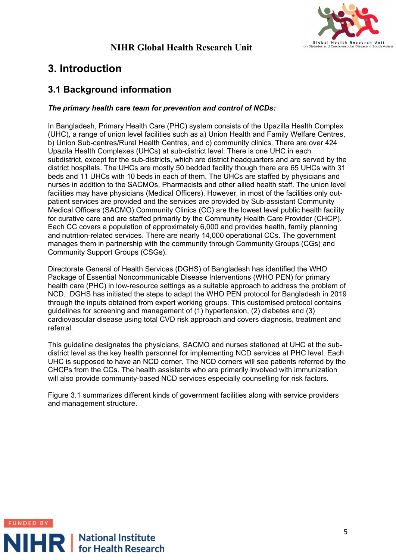

# <span id="page-4-0"></span>**3. Introduction**

#### <span id="page-4-1"></span>**3.1 Background information**

#### *The primary health care team for prevention and control of NCDs:*

In Bangladesh, Primary Health Care (PHC) system consists of the Upazilla Health Complex (UHC), a range of union level facilities such as a) Union Health and Family Welfare Centres, b) Union Sub-centres/Rural Health Centres, and c) community clinics. There are over 424 Upazila Health Complexes (UHCs) at sub-district level. There is one UHC in each subdistrict, except for the sub-districts, which are district headquarters and are served by the district hospitals. The UHCs are mostly 50 bedded facility though there are 65 UHCs with 31 beds and 11 UHCs with 10 beds in each of them. The UHCs are staffed by physicians and nurses in addition to the SACMOs, Pharmacists and other allied health staff. The union level facilities may have physicians (Medical Officers). However, in most of the facilities only outpatient services are provided and the services are provided by Sub-assistant Community Medical Officers (SACMO).Community Clinics (CC) are the lowest level public health facility for curative care and are staffed primarily by the Community Health Care Provider (CHCP). Each CC covers a population of approximately 6,000 and provides health, family planning and nutrition-related services. There are nearly 14,000 operational CCs. The government manages them in partnership with the community through Community Groups (CGs) and Community Support Groups (CSGs).

Directorate General of Health Services (DGHS) of Bangladesh has identified the WHO Package of Essential Noncommunicable Disease Interventions (WHO PEN) for primary health care (PHC) in low-resource settings as a suitable approach to address the problem of NCD. DGHS has initiated the steps to adapt the WHO PEN protocol for Bangladesh in 2019 through the inputs obtained from expert working groups. This customised protocol contains guidelines for screening and management of (1) hypertension, (2) diabetes and (3) cardiovascular disease using total CVD risk approach and covers diagnosis, treatment and referral.

This guideline designates the physicians, SACMO and nurses stationed at UHC at the subdistrict level as the key health personnel for implementing NCD services at PHC level. Each UHC is supposed to have an NCD corner. The NCD corners will see patients referred by the CHCPs from the CCs. The health assistants who are primarily involved with immunization will also provide community-based NCD services especially counselling for risk factors.

Figure 3.1 summarizes different kinds of government facilities along with service providers and management structure.

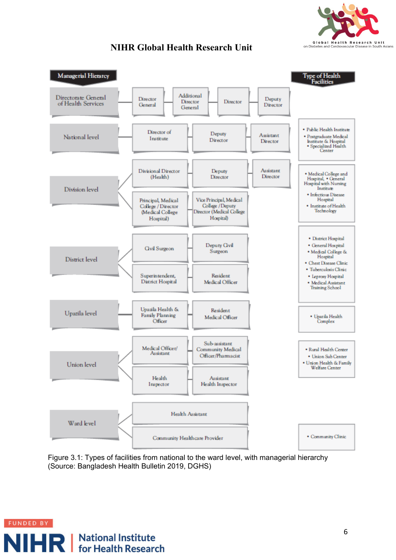



Figure 3.1: Types of facilities from national to the ward level, with managerial hierarchy (Source: Bangladesh Health Bulletin 2019, DGHS)

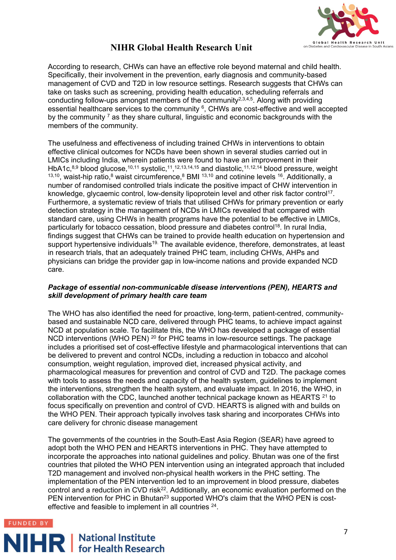

According to research, CHWs can have an effective role beyond maternal and child health. Specifically, their involvement in the prevention, early diagnosis and community-based management of CVD and T2D in low resource settings. Research suggests that CHWs can take on tasks such as screening, providing health education, scheduling referrals and conducting follow-ups amongst members of the community<sup>2,3,4,5</sup>. Along with providing essential healthcare services to the community <sup>6</sup>, CHWs are cost-effective and well accepted by the community  $<sup>7</sup>$  as they share cultural, linguistic and economic backgrounds with the</sup> members of the community.

The usefulness and effectiveness of including trained CHWs in interventions to obtain effective clinical outcomes for NCDs have been shown in several studies carried out in LMICs including India, wherein patients were found to have an improvement in their HbA1c,<sup>8,9</sup> blood glucose,<sup>10,11</sup> systolic,<sup>11</sup>,<sup>12,13,14,15</sup> and diastolic,<sup>11,12,14</sup> blood pressure, weight  $13,10$ , waist-hip ratio,<sup>8</sup> waist circumference, <sup>8</sup> BMI  $13,10$  and cotinine levels  $16$ . Additionally, a number of randomised controlled trials indicate the positive impact of CHW intervention in knowledge, glycaemic control, low-density lipoprotein level and other risk factor control<sup>17</sup>. Furthermore, a systematic review of trials that utilised CHWs for primary prevention or early detection strategy in the management of NCDs in LMICs revealed that compared with standard care, using CHWs in health programs have the potential to be effective in LMICs, particularly for tobacco cessation, blood pressure and diabetes control<sup>18</sup>. In rural India, findings suggest that CHWs can be trained to provide health education on hypertension and support hypertensive individuals<sup>19.</sup> The available evidence, therefore, demonstrates, at least in research trials, that an adequately trained PHC team, including CHWs, AHPs and physicians can bridge the provider gap in low-income nations and provide expanded NCD care.

#### *Package of essential non-communicable disease interventions (PEN), HEARTS and skill development of primary health care team*

The WHO has also identified the need for proactive, long-term, patient-centred, communitybased and sustainable NCD care, delivered through PHC teams, to achieve impact against NCD at population scale. To facilitate this, the WHO has developed a package of essential NCD interventions (WHO PEN) <sup>20</sup> for PHC teams in low-resource settings. The package includes a prioritised set of cost-effective lifestyle and pharmacological interventions that can be delivered to prevent and control NCDs, including a reduction in tobacco and alcohol consumption, weight regulation, improved diet, increased physical activity, and pharmacological measures for prevention and control of CVD and T2D. The package comes with tools to assess the needs and capacity of the health system, guidelines to implement the interventions, strengthen the health system, and evaluate impact. In 2016, the WHO, in collaboration with the CDC, launched another technical package known as HEARTS 21 to focus specifically on prevention and control of CVD. HEARTS is aligned with and builds on the WHO PEN. Their approach typically involves task sharing and incorporates CHWs into care delivery for chronic disease management

The governments of the countries in the South-East Asia Region (SEAR) have agreed to adopt both the WHO PEN and HEARTS interventions in PHC. They have attempted to incorporate the approaches into national guidelines and policy. Bhutan was one of the first countries that piloted the WHO PEN intervention using an integrated approach that included T2D management and involved non-physical health workers in the PHC setting. The implementation of the PEN intervention led to an improvement in blood pressure, diabetes control and a reduction in CVD risk<sup>22</sup>. Additionally, an economic evaluation performed on the PEN intervention for PHC in Bhutan<sup>23</sup> supported WHO's claim that the WHO PEN is costeffective and feasible to implement in all countries 24.



# **NIHR** | National Institute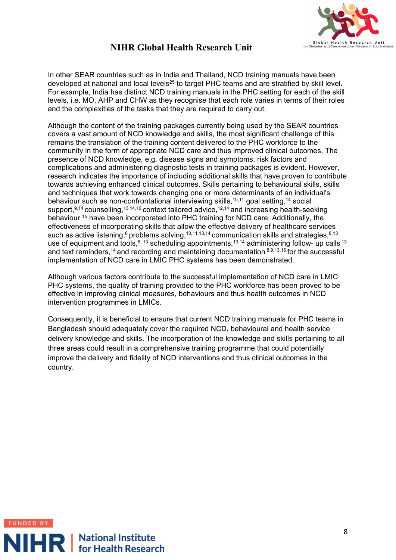

In other SEAR countries such as in India and Thailand, NCD training manuals have been developed at national and local levels<sup>25</sup> to target PHC teams and are stratified by skill level. For example, India has distinct NCD training manuals in the PHC setting for each of the skill levels, i.e. MO, AHP and CHW as they recognise that each role varies in terms of their roles and the complexities of the tasks that they are required to carry out.

Although the content of the training packages currently being used by the SEAR countries covers a vast amount of NCD knowledge and skills, the most significant challenge of this remains the translation of the training content delivered to the PHC workforce to the community in the form of appropriate NCD care and thus improved clinical outcomes. The presence of NCD knowledge, e.g. disease signs and symptoms, risk factors and complications and administering diagnostic tests in training packages is evident. However, research indicates the importance of including additional skills that have proven to contribute towards achieving enhanced clinical outcomes. Skills pertaining to behavioural skills, skills and techniques that work towards changing one or more determinants of an individual's behaviour such as non-confrontational interviewing skills,<sup>10,11</sup> goal setting,<sup>14</sup> social support, 9,14 counselling, 13,14,16 context tailored advice, <sup>12,14</sup> and increasing health-seeking behaviour <sup>15</sup> have been incorporated into PHC training for NCD care. Additionally, the effectiveness of incorporating skills that allow the effective delivery of healthcare services such as active listening, $8 \text{ problems}$  solving,  $10,11,13,14$  communication skills and strategies,  $8,13$ use of equipment and tools,  $8, 13$  scheduling appointments,  $13,14$  administering follow- up calls  $13$ and text reminders, <sup>14</sup> and recording and maintaining documentation  $8,9,13,16$  for the successful implementation of NCD care in LMIC PHC systems has been demonstrated.

Although various factors contribute to the successful implementation of NCD care in LMIC PHC systems, the quality of training provided to the PHC workforce has been proved to be effective in improving clinical measures, behaviours and thus health outcomes in NCD intervention programmes in LMICs.

Consequently, it is beneficial to ensure that current NCD training manuals for PHC teams in Bangladesh should adequately cover the required NCD, behavioural and health service delivery knowledge and skills. The incorporation of the knowledge and skills pertaining to all three areas could result in a comprehensive training programme that could potentially improve the delivery and fidelity of NCD interventions and thus clinical outcomes in the country.

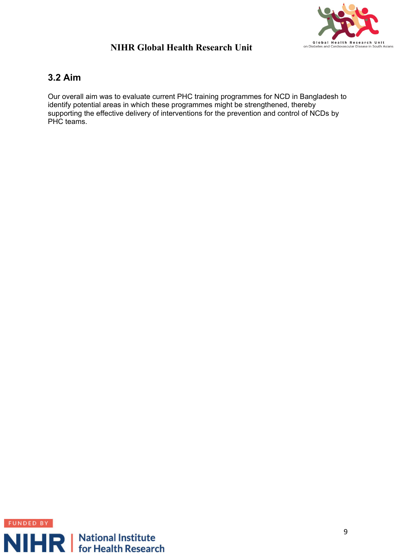

#### <span id="page-8-0"></span>**3.2 Aim**

Our overall aim was to evaluate current PHC training programmes for NCD in Bangladesh to identify potential areas in which these programmes might be strengthened, thereby supporting the effective delivery of interventions for the prevention and control of NCDs by PHC teams.

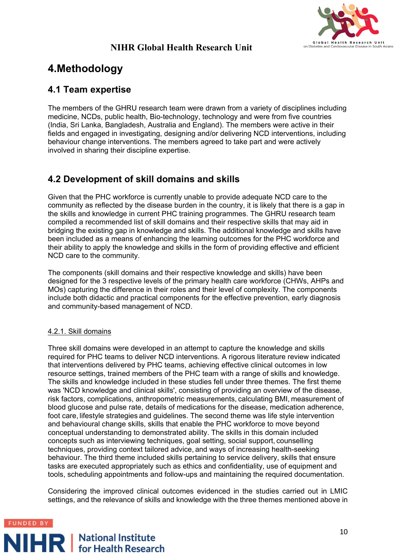

# <span id="page-9-0"></span>**4.Methodology**

## <span id="page-9-1"></span>**4.1 Team expertise**

The members of the GHRU research team were drawn from a variety of disciplines including medicine, NCDs, public health, Bio-technology, technology and were from five countries (India, Sri Lanka, Bangladesh, Australia and England). The members were active in their fields and engaged in investigating, designing and/or delivering NCD interventions, including behaviour change interventions. The members agreed to take part and were actively involved in sharing their discipline expertise.

## <span id="page-9-2"></span>**4.2 Development of skill domains and skills**

Given that the PHC workforce is currently unable to provide adequate NCD care to the community as reflected by the disease burden in the country, it is likely that there is a gap in the skills and knowledge in current PHC training programmes. The GHRU research team compiled a recommended list of skill domains and their respective skills that may aid in bridging the existing gap in knowledge and skills. The additional knowledge and skills have been included as a means of enhancing the learning outcomes for the PHC workforce and their ability to apply the knowledge and skills in the form of providing effective and efficient NCD care to the community.

The components (skill domains and their respective knowledge and skills) have been designed for the 3 respective levels of the primary health care workforce (CHWs, AHPs and MOs) capturing the difference in their roles and their level of complexity. The components include both didactic and practical components for the effective prevention, early diagnosis and community-based management of NCD.

#### 4.2.1. Skill domains

Three skill domains were developed in an attempt to capture the knowledge and skills required for PHC teams to deliver NCD interventions. A rigorous literature review indicated that interventions delivered by PHC teams, achieving effective clinical outcomes in low resource settings, trained members of the PHC team with a range of skills and knowledge. The skills and knowledge included in these studies fell under three themes. The first theme was 'NCD knowledge and clinical skills', consisting of providing an overview of the disease, risk factors, complications, anthropometric measurements, calculating BMI, measurement of blood glucose and pulse rate, details of medications for the disease, medication adherence, foot care, lifestyle strategies and guidelines. The second theme was life style intervention and behavioural change skills, skills that enable the PHC workforce to move beyond conceptual understanding to demonstrated ability. The skills in this domain included concepts such as interviewing techniques, goal setting, social support, counselling techniques, providing context tailored advice, and ways of increasing health-seeking behaviour. The third theme included skills pertaining to service delivery, skills that ensure tasks are executed appropriately such as ethics and confidentiality, use of equipment and tools, scheduling appointments and follow-ups and maintaining the required documentation.

Considering the improved clinical outcomes evidenced in the studies carried out in LMIC settings, and the relevance of skills and knowledge with the three themes mentioned above in

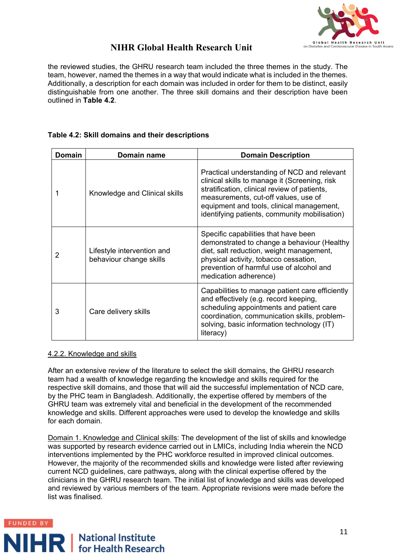

the reviewed studies, the GHRU research team included the three themes in the study. The team, however, named the themes in a way that would indicate what is included in the themes. Additionally, a description for each domain was included in order for them to be distinct, easily distinguishable from one another. The three skill domains and their description have been outlined in **Table 4.2**.

#### **Table 4.2: Skill domains and their descriptions**

| Domain | Domain name                                           | <b>Domain Description</b>                                                                                                                                                                                                                                                          |
|--------|-------------------------------------------------------|------------------------------------------------------------------------------------------------------------------------------------------------------------------------------------------------------------------------------------------------------------------------------------|
|        | Knowledge and Clinical skills                         | Practical understanding of NCD and relevant<br>clinical skills to manage it (Screening, risk<br>stratification, clinical review of patients,<br>measurements, cut-off values, use of<br>equipment and tools, clinical management,<br>identifying patients, community mobilisation) |
| 2      | Lifestyle intervention and<br>behaviour change skills | Specific capabilities that have been<br>demonstrated to change a behaviour (Healthy<br>diet, salt reduction, weight management,<br>physical activity, tobacco cessation,<br>prevention of harmful use of alcohol and<br>medication adherence)                                      |
| 3      | Care delivery skills                                  | Capabilities to manage patient care efficiently<br>and effectively (e.g. record keeping,<br>scheduling appointments and patient care<br>coordination, communication skills, problem-<br>solving, basic information technology (IT)<br>literacy)                                    |

#### 4.2.2. Knowledge and skills

After an extensive review of the literature to select the skill domains, the GHRU research team had a wealth of knowledge regarding the knowledge and skills required for the respective skill domains, and those that will aid the successful implementation of NCD care, by the PHC team in Bangladesh. Additionally, the expertise offered by members of the GHRU team was extremely vital and beneficial in the development of the recommended knowledge and skills. Different approaches were used to develop the knowledge and skills for each domain.

Domain 1. Knowledge and Clinical skills: The development of the list of skills and knowledge was supported by research evidence carried out in LMICs, including India wherein the NCD interventions implemented by the PHC workforce resulted in improved clinical outcomes. However, the majority of the recommended skills and knowledge were listed after reviewing current NCD guidelines, care pathways, along with the clinical expertise offered by the clinicians in the GHRU research team. The initial list of knowledge and skills was developed and reviewed by various members of the team. Appropriate revisions were made before the list was finalised.

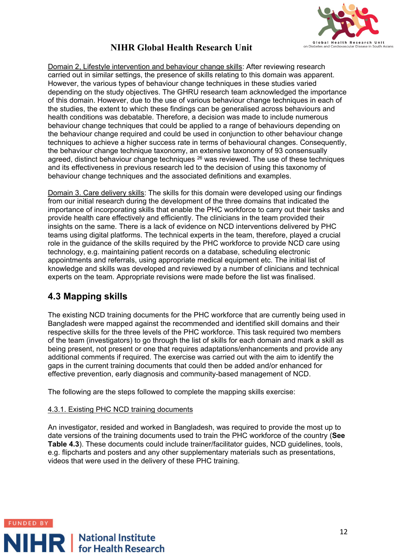

Domain 2, Lifestyle intervention and behaviour change skills: After reviewing research carried out in similar settings, the presence of skills relating to this domain was apparent. However, the various types of behaviour change techniques in these studies varied depending on the study objectives. The GHRU research team acknowledged the importance of this domain. However, due to the use of various behaviour change techniques in each of the studies, the extent to which these findings can be generalised across behaviours and health conditions was debatable. Therefore, a decision was made to include numerous behaviour change techniques that could be applied to a range of behaviours depending on the behaviour change required and could be used in conjunction to other behaviour change techniques to achieve a higher success rate in terms of behavioural changes. Consequently, the behaviour change technique taxonomy, an extensive taxonomy of 93 consensually agreed, distinct behaviour change techniques  $^{26}$  was reviewed. The use of these techniques and its effectiveness in previous research led to the decision of using this taxonomy of behaviour change techniques and the associated definitions and examples.

Domain 3. Care delivery skills: The skills for this domain were developed using our findings from our initial research during the development of the three domains that indicated the importance of incorporating skills that enable the PHC workforce to carry out their tasks and provide health care effectively and efficiently. The clinicians in the team provided their insights on the same. There is a lack of evidence on NCD interventions delivered by PHC teams using digital platforms. The technical experts in the team, therefore, played a crucial role in the guidance of the skills required by the PHC workforce to provide NCD care using technology, e.g. maintaining patient records on a database, scheduling electronic appointments and referrals, using appropriate medical equipment etc. The initial list of knowledge and skills was developed and reviewed by a number of clinicians and technical experts on the team. Appropriate revisions were made before the list was finalised.

#### <span id="page-11-0"></span>**4.3 Mapping skills**

The existing NCD training documents for the PHC workforce that are currently being used in Bangladesh were mapped against the recommended and identified skill domains and their respective skills for the three levels of the PHC workforce. This task required two members of the team (investigators) to go through the list of skills for each domain and mark a skill as being present, not present or one that requires adaptations/enhancements and provide any additional comments if required. The exercise was carried out with the aim to identify the gaps in the current training documents that could then be added and/or enhanced for effective prevention, early diagnosis and community-based management of NCD.

The following are the steps followed to complete the mapping skills exercise:

#### 4.3.1. Existing PHC NCD training documents

An investigator, resided and worked in Bangladesh, was required to provide the most up to date versions of the training documents used to train the PHC workforce of the country (**See Table 4.3**). These documents could include trainer/facilitator guides, NCD quidelines, tools, e.g. flipcharts and posters and any other supplementary materials such as presentations, videos that were used in the delivery of these PHC training.

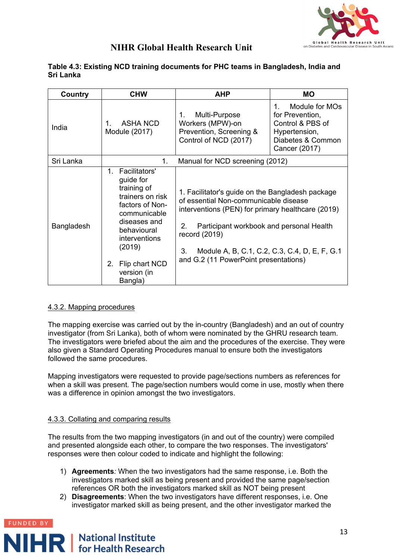

| Table 4.3: Existing NCD training documents for PHC teams in Bangladesh, India and |  |
|-----------------------------------------------------------------------------------|--|
| Sri Lanka                                                                         |  |

| Country    | <b>CHW</b>                                                                                                                                                                                                              | <b>AHP</b>                                                                                                                                                                                                                                                       | <b>MO</b>                                                                                                         |
|------------|-------------------------------------------------------------------------------------------------------------------------------------------------------------------------------------------------------------------------|------------------------------------------------------------------------------------------------------------------------------------------------------------------------------------------------------------------------------------------------------------------|-------------------------------------------------------------------------------------------------------------------|
| India      | ASHA NCD<br>Module (2017)                                                                                                                                                                                               | $1_{\cdot}$<br>Multi-Purpose<br>Workers (MPW)-on<br>Prevention, Screening &<br>Control of NCD (2017)                                                                                                                                                             | Module for MOs<br>1<br>for Prevention,<br>Control & PBS of<br>Hypertension,<br>Diabetes & Common<br>Cancer (2017) |
| Sri Lanka  | 1.                                                                                                                                                                                                                      | Manual for NCD screening (2012)                                                                                                                                                                                                                                  |                                                                                                                   |
| Bangladesh | Facilitators'<br>$1_{-}$<br>guide for<br>training of<br>trainers on risk<br>factors of Non-<br>communicable<br>diseases and<br>behavioural<br>interventions<br>(2019)<br>2.<br>Flip chart NCD<br>version (in<br>Bangla) | 1. Facilitator's guide on the Bangladesh package<br>of essential Non-communicable disease<br>interventions (PEN) for primary healthcare (2019)<br>2.<br>Participant workbook and personal Health<br>record (2019)<br>3.<br>and G.2 (11 PowerPoint presentations) | Module A, B, C.1, C.2, C.3, C.4, D, E, F, G.1                                                                     |

#### 4.3.2. Mapping procedures

The mapping exercise was carried out by the in-country (Bangladesh) and an out of country investigator (from Sri Lanka), both of whom were nominated by the GHRU research team. The investigators were briefed about the aim and the procedures of the exercise. They were also given a Standard Operating Procedures manual to ensure both the investigators followed the same procedures.

Mapping investigators were requested to provide page/sections numbers as references for when a skill was present. The page/section numbers would come in use, mostly when there was a difference in opinion amongst the two investigators.

#### 4.3.3. Collating and comparing results

The results from the two mapping investigators (in and out of the country) were compiled and presented alongside each other, to compare the two responses. The investigators' responses were then colour coded to indicate and highlight the following:

- 1) **Agreements***:* When the two investigators had the same response, i.e. Both the investigators marked skill as being present and provided the same page/section references OR both the investigators marked skill as NOT being present
- 2) **Disagreements**: When the two investigators have different responses, i.e. One investigator marked skill as being present, and the other investigator marked the

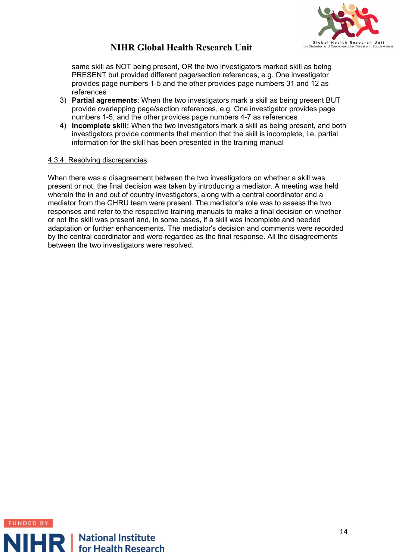

same skill as NOT being present, OR the two investigators marked skill as being PRESENT but provided different page/section references, e.g. One investigator provides page numbers 1-5 and the other provides page numbers 31 and 12 as references

- 3) **Partial agreements**: When the two investigators mark a skill as being present BUT provide overlapping page/section references, e.g. One investigator provides page numbers 1-5, and the other provides page numbers 4-7 as references
- 4) **Incomplete skill:** When the two investigators mark a skill as being present, and both investigators provide comments that mention that the skill is incomplete, i.e. partial information for the skill has been presented in the training manual

#### 4.3.4. Resolving discrepancies

When there was a disagreement between the two investigators on whether a skill was present or not, the final decision was taken by introducing a mediator. A meeting was held wherein the in and out of country investigators, along with a central coordinator and a mediator from the GHRU team were present. The mediator's role was to assess the two responses and refer to the respective training manuals to make a final decision on whether or not the skill was present and, in some cases, if a skill was incomplete and needed adaptation or further enhancements. The mediator's decision and comments were recorded by the central coordinator and were regarded as the final response. All the disagreements between the two investigators were resolved.

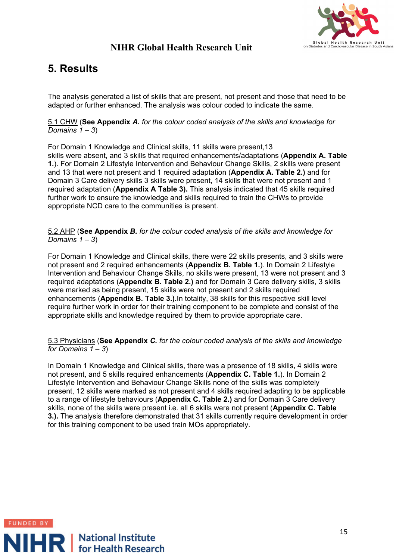

# <span id="page-14-0"></span>**5. Results**

The analysis generated a list of skills that are present, not present and those that need to be adapted or further enhanced. The analysis was colour coded to indicate the same.

5.1 CHW (**See Appendix** *A. for the colour coded analysis of the skills and knowledge for Domains 1 – 3*)

For Domain 1 Knowledge and Clinical skills, 11 skills were present,13 skills were absent, and 3 skills that required enhancements/adaptations (**Appendix A. Table 1.**). For Domain 2 Lifestyle Intervention and Behaviour Change Skills, 2 skills were present and 13 that were not present and 1 required adaptation (**Appendix A. Table 2.)** and for Domain 3 Care delivery skills 3 skills were present, 14 skills that were not present and 1 required adaptation (**Appendix A Table 3).** This analysis indicated that 45 skills required further work to ensure the knowledge and skills required to train the CHWs to provide appropriate NCD care to the communities is present.

5.2 AHP (**See Appendix** *B. for the colour coded analysis of the skills and knowledge for Domains 1 – 3*)

For Domain 1 Knowledge and Clinical skills, there were 22 skills presents, and 3 skills were not present and 2 required enhancements (**Appendix B. Table 1.**). In Domain 2 Lifestyle Intervention and Behaviour Change Skills, no skills were present, 13 were not present and 3 required adaptations (**Appendix B. Table 2.)** and for Domain 3 Care delivery skills, 3 skills were marked as being present, 15 skills were not present and 2 skills required enhancements (**Appendix B. Table 3.).**In totality, 38 skills for this respective skill level require further work in order for their training component to be complete and consist of the appropriate skills and knowledge required by them to provide appropriate care.

5.3 Physicians (**See Appendix** *C. for the colour coded analysis of the skills and knowledge for Domains 1 – 3*)

In Domain 1 Knowledge and Clinical skills, there was a presence of 18 skills, 4 skills were not present, and 5 skills required enhancements (**Appendix C. Table 1.**). In Domain 2 Lifestyle Intervention and Behaviour Change Skills none of the skills was completely present, 12 skills were marked as not present and 4 skills required adapting to be applicable to a range of lifestyle behaviours (**Appendix C. Table 2.)** and for Domain 3 Care delivery skills, none of the skills were present i.e. all 6 skills were not present (**Appendix C. Table 3.).** The analysis therefore demonstrated that 31 skills currently require development in order for this training component to be used train MOs appropriately.

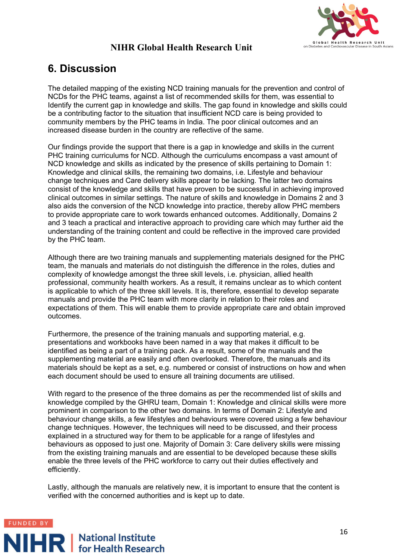

## <span id="page-15-0"></span>**6. Discussion**

The detailed mapping of the existing NCD training manuals for the prevention and control of NCDs for the PHC teams, against a list of recommended skills for them, was essential to Identify the current gap in knowledge and skills. The gap found in knowledge and skills could be a contributing factor to the situation that insufficient NCD care is being provided to community members by the PHC teams in India. The poor clinical outcomes and an increased disease burden in the country are reflective of the same.

Our findings provide the support that there is a gap in knowledge and skills in the current PHC training curriculums for NCD. Although the curriculums encompass a vast amount of NCD knowledge and skills as indicated by the presence of skills pertaining to Domain 1: Knowledge and clinical skills, the remaining two domains, i.e. Lifestyle and behaviour change techniques and Care delivery skills appear to be lacking. The latter two domains consist of the knowledge and skills that have proven to be successful in achieving improved clinical outcomes in similar settings. The nature of skills and knowledge in Domains 2 and 3 also aids the conversion of the NCD knowledge into practice, thereby allow PHC members to provide appropriate care to work towards enhanced outcomes. Additionally, Domains 2 and 3 teach a practical and interactive approach to providing care which may further aid the understanding of the training content and could be reflective in the improved care provided by the PHC team.

Although there are two training manuals and supplementing materials designed for the PHC team, the manuals and materials do not distinguish the difference in the roles, duties and complexity of knowledge amongst the three skill levels, i.e. physician, allied health professional, community health workers. As a result, it remains unclear as to which content is applicable to which of the three skill levels. It is, therefore, essential to develop separate manuals and provide the PHC team with more clarity in relation to their roles and expectations of them. This will enable them to provide appropriate care and obtain improved outcomes.

Furthermore, the presence of the training manuals and supporting material, e.g. presentations and workbooks have been named in a way that makes it difficult to be identified as being a part of a training pack. As a result, some of the manuals and the supplementing material are easily and often overlooked. Therefore, the manuals and its materials should be kept as a set, e.g. numbered or consist of instructions on how and when each document should be used to ensure all training documents are utilised.

With regard to the presence of the three domains as per the recommended list of skills and knowledge compiled by the GHRU team, Domain 1: Knowledge and clinical skills were more prominent in comparison to the other two domains. In terms of Domain 2: Lifestyle and behaviour change skills, a few lifestyles and behaviours were covered using a few behaviour change techniques. However, the techniques will need to be discussed, and their process explained in a structured way for them to be applicable for a range of lifestyles and behaviours as opposed to just one. Majority of Domain 3: Care delivery skills were missing from the existing training manuals and are essential to be developed because these skills enable the three levels of the PHC workforce to carry out their duties effectively and efficiently.

Lastly, although the manuals are relatively new, it is important to ensure that the content is verified with the concerned authorities and is kept up to date.

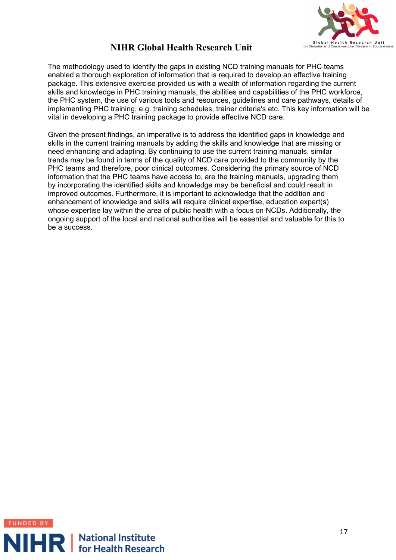

The methodology used to identify the gaps in existing NCD training manuals for PHC teams enabled a thorough exploration of information that is required to develop an effective training package. This extensive exercise provided us with a wealth of information regarding the current skills and knowledge in PHC training manuals, the abilities and capabilities of the PHC workforce, the PHC system, the use of various tools and resources, guidelines and care pathways, details of implementing PHC training, e.g. training schedules, trainer criteria's etc. This key information will be vital in developing a PHC training package to provide effective NCD care.

Given the present findings, an imperative is to address the identified gaps in knowledge and skills in the current training manuals by adding the skills and knowledge that are missing or need enhancing and adapting. By continuing to use the current training manuals, similar trends may be found in terms of the quality of NCD care provided to the community by the PHC teams and therefore, poor clinical outcomes. Considering the primary source of NCD information that the PHC teams have access to, are the training manuals, upgrading them by incorporating the identified skills and knowledge may be beneficial and could result in improved outcomes. Furthermore, it is important to acknowledge that the addition and enhancement of knowledge and skills will require clinical expertise, education expert(s) whose expertise lay within the area of public health with a focus on NCDs. Additionally, the ongoing support of the local and national authorities will be essential and valuable for this to be a success.

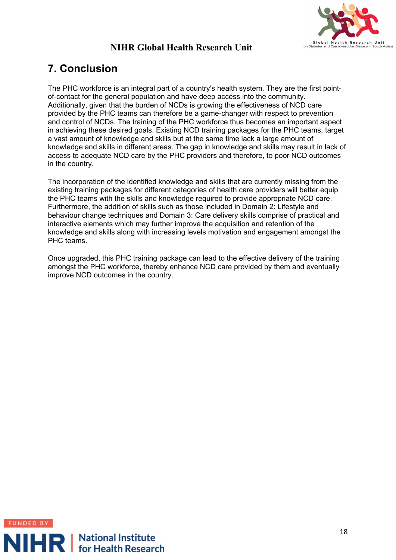

# <span id="page-17-0"></span>**7. Conclusion**

The PHC workforce is an integral part of a country's health system. They are the first pointof-contact for the general population and have deep access into the community. Additionally, given that the burden of NCDs is growing the effectiveness of NCD care provided by the PHC teams can therefore be a game-changer with respect to prevention and control of NCDs. The training of the PHC workforce thus becomes an important aspect in achieving these desired goals. Existing NCD training packages for the PHC teams, target a vast amount of knowledge and skills but at the same time lack a large amount of knowledge and skills in different areas. The gap in knowledge and skills may result in lack of access to adequate NCD care by the PHC providers and therefore, to poor NCD outcomes in the country.

The incorporation of the identified knowledge and skills that are currently missing from the existing training packages for different categories of health care providers will better equip the PHC teams with the skills and knowledge required to provide appropriate NCD care. Furthermore, the addition of skills such as those included in Domain 2: Lifestyle and behaviour change techniques and Domain 3: Care delivery skills comprise of practical and interactive elements which may further improve the acquisition and retention of the knowledge and skills along with increasing levels motivation and engagement amongst the PHC teams.

Once upgraded, this PHC training package can lead to the effective delivery of the training amongst the PHC workforce, thereby enhance NCD care provided by them and eventually improve NCD outcomes in the country.

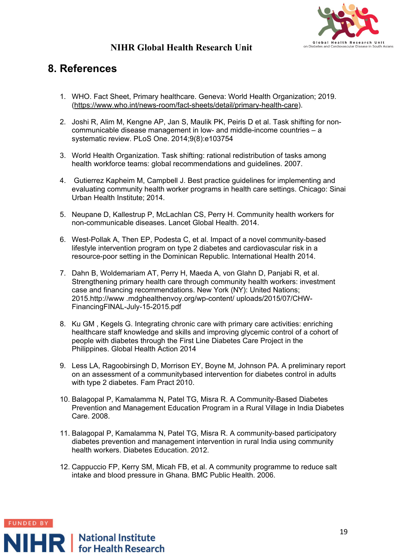

## <span id="page-18-0"></span>**8. References**

- 1. WHO. Fact Sheet, Primary healthcare. Geneva: World Health Organization; 2019. [\(https://www.who.int/news-room/fact-sheets/detail/primary-health-care\)](https://www.who.int/news-room/fact-sheets/detail/primary-health-care).
- 2. Joshi R, Alim M, Kengne AP, Jan S, Maulik PK, Peiris D et al. Task shifting for noncommunicable disease management in low- and middle-income countries – a systematic review. PLoS One. 2014;9(8):e103754
- 3. World Health Organization. Task shifting: rational redistribution of tasks among health workforce teams: global recommendations and guidelines. 2007.
- 4. Gutierrez Kapheim M, Campbell J. Best practice guidelines for implementing and evaluating community health worker programs in health care settings. Chicago: Sinai Urban Health Institute; 2014.
- 5. Neupane D, Kallestrup P, McLachlan CS, Perry H. Community health workers for non-communicable diseases. Lancet Global Health. 2014.
- 6. West-Pollak A, Then EP, Podesta C, et al. Impact of a novel community-based lifestyle intervention program on type 2 diabetes and cardiovascular risk in a resource-poor setting in the Dominican Republic. International Health 2014.
- 7. Dahn B, Woldemariam AT, Perry H, Maeda A, von Glahn D, Panjabi R, et al. Strengthening primary health care through community health workers: investment case and financing recommendations. New York (NY): United Nations; 2015.http://www .mdghealthenvoy.org/wp-content/ uploads/2015/07/CHW-FinancingFINAL-July-15-2015.pdf
- 8. Ku GM , Kegels G. Integrating chronic care with primary care activities: enriching healthcare staff knowledge and skills and improving glycemic control of a cohort of people with diabetes through the First Line Diabetes Care Project in the Philippines. Global Health Action 2014
- 9. Less LA, Ragoobirsingh D, Morrison EY, Boyne M, Johnson PA. A preliminary report on an assessment of a communitybased intervention for diabetes control in adults with type 2 diabetes. Fam Pract 2010.
- 10. Balagopal P, Kamalamma N, Patel TG, Misra R. A Community-Based Diabetes Prevention and Management Education Program in a Rural Village in India Diabetes Care. 2008.
- 11. Balagopal P, Kamalamma N, Patel TG, Misra R. A community-based participatory diabetes prevention and management intervention in rural India using community health workers. Diabetes Education. 2012.
- 12. Cappuccio FP, Kerry SM, Micah FB, et al. A community programme to reduce salt intake and blood pressure in Ghana. BMC Public Health. 2006.

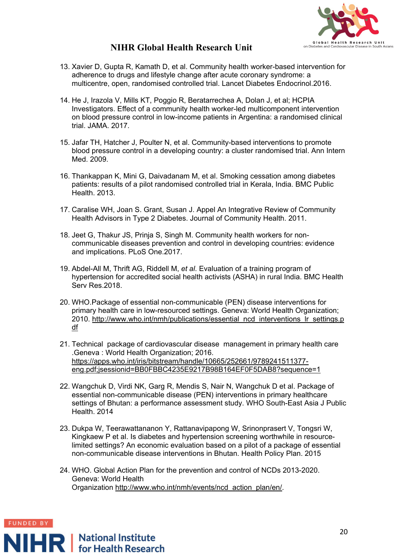

- 13. Xavier D, Gupta R, Kamath D, et al. Community health worker-based intervention for adherence to drugs and lifestyle change after acute coronary syndrome: a multicentre, open, randomised controlled trial. Lancet Diabetes Endocrinol.2016.
- 14. He J, Irazola V, Mills KT, Poggio R, Beratarrechea A, Dolan J, et al; HCPIA Investigators. Effect of a community health worker-led multicomponent intervention on blood pressure control in low-income patients in Argentina: a randomised clinical trial. JAMA. 2017.
- 15. Jafar TH, Hatcher J, Poulter N, et al. Community-based interventions to promote blood pressure control in a developing country: a cluster randomised trial. Ann Intern Med. 2009.
- 16. Thankappan K, Mini G, Daivadanam M, et al. Smoking cessation among diabetes patients: results of a pilot randomised controlled trial in Kerala, India. BMC Public Health. 2013.
- 17. Caralise WH, Joan S. Grant, Susan J. Appel An Integrative Review of Community Health Advisors in Type 2 Diabetes. Journal of Community Health. 2011.
- 18. Jeet G, Thakur JS, Prinja S, Singh M. Community health workers for noncommunicable diseases prevention and control in developing countries: evidence and implications. PLoS One.2017.
- 19. Abdel-All M, Thrift AG, Riddell M, *et al*. Evaluation of a training program of hypertension for accredited social health activists (ASHA) in rural India. BMC Health Serv Res.2018.
- 20. WHO.Package of essential non-communicable (PEN) disease interventions for primary health care in low-resourced settings. Geneva: World Health Organization; 2010. [http://www.who.int/nmh/publications/essential\\_ncd\\_interventions\\_lr\\_settings.p](http://www.who.int/nmh/publications/essential_ncd_interventions_lr_settings.pdf) [df](http://www.who.int/nmh/publications/essential_ncd_interventions_lr_settings.pdf)
- 21. Technical package of cardiovascular disease management in primary health care .Geneva : World Health Organization; 2016. [https://apps.who.int/iris/bitstream/handle/10665/252661/9789241511377](https://apps.who.int/iris/bitstream/handle/10665/252661/9789241511377-eng.pdf;jsessionid=BB0FBBC4235E9217B98B164EF0F5DAB8?sequence=1) [eng.pdf;jsessionid=BB0FBBC4235E9217B98B164EF0F5DAB8?sequence=1](https://apps.who.int/iris/bitstream/handle/10665/252661/9789241511377-eng.pdf;jsessionid=BB0FBBC4235E9217B98B164EF0F5DAB8?sequence=1)
- 22. Wangchuk D, Virdi NK, Garg R, Mendis S, Nair N, Wangchuk D et al. Package of essential non-communicable disease (PEN) interventions in primary healthcare settings of Bhutan: a performance assessment study. WHO South-East Asia J Public Health. 2014
- 23. Dukpa W, Teerawattananon Y, Rattanavipapong W, Srinonprasert V, Tongsri W, Kingkaew P et al. Is diabetes and hypertension screening worthwhile in resourcelimited settings? An economic evaluation based on a pilot of a package of essential non-communicable disease interventions in Bhutan. Health Policy Plan. 2015
- 24. WHO. Global Action Plan for the prevention and control of NCDs 2013-2020. Geneva: World Health Organization [http://www.who.int/nmh/events/ncd\\_action\\_plan/en/.](http://www.who.int/nmh/events/ncd_action_plan/en/)

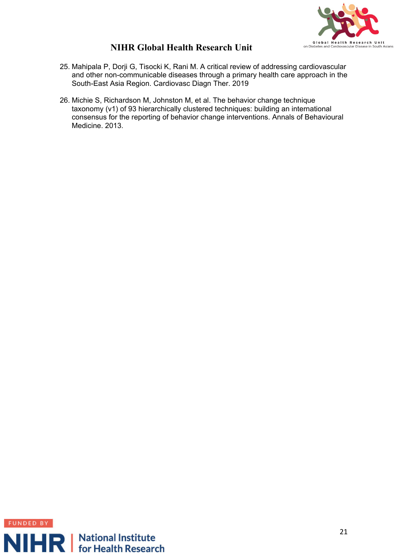

- 25. Mahipala P, Dorji G, Tisocki K, Rani M. A critical review of addressing cardiovascular and other non-communicable diseases through a primary health care approach in the South-East Asia Region. Cardiovasc Diagn Ther. 2019
- 26. Michie S, Richardson M, Johnston M, et al. The behavior change technique taxonomy (v1) of 93 hierarchically clustered techniques: building an international consensus for the reporting of behavior change interventions. Annals of Behavioural Medicine. 2013.

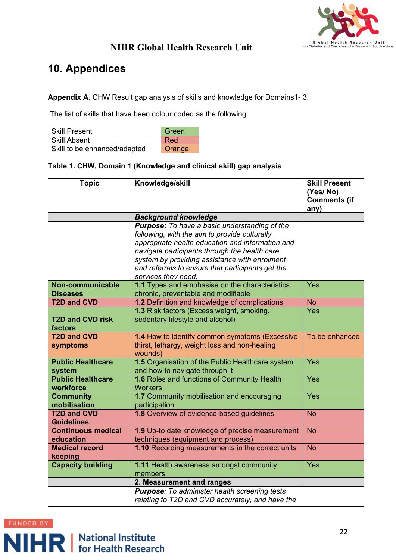

# <span id="page-21-0"></span>**10. Appendices**

**Appendix A.** CHW Result gap analysis of skills and knowledge for Domains1- 3.

The list of skills that have been colour coded as the following:

| Skill Present                | Green  |
|------------------------------|--------|
| l Skill Absent               | Red    |
| Skill to be enhanced/adapted | Orange |

#### **Table 1. CHW, Domain 1 (Knowledge and clinical skill) gap analysis**

| <b>Topic</b>                          | Knowledge/skill                                                                                   | <b>Skill Present</b><br>(Yes/No) |
|---------------------------------------|---------------------------------------------------------------------------------------------------|----------------------------------|
|                                       |                                                                                                   | <b>Comments (if</b><br>any)      |
|                                       | <b>Background knowledge</b>                                                                       |                                  |
|                                       | <b>Purpose:</b> To have a basic understanding of the                                              |                                  |
|                                       | following, with the aim to provide culturally                                                     |                                  |
|                                       | appropriate health education and information and<br>navigate participants through the health care |                                  |
|                                       | system by providing assistance with enrolment                                                     |                                  |
|                                       | and referrals to ensure that participants get the                                                 |                                  |
|                                       | services they need.                                                                               |                                  |
| Non-communicable                      | 1.1 Types and emphasise on the characteristics:                                                   | Yes                              |
| <b>Diseases</b>                       | chronic, preventable and modifiable                                                               |                                  |
| <b>T2D and CVD</b>                    | 1.2 Definition and knowledge of complications                                                     | <b>No</b>                        |
|                                       | 1.3 Risk factors (Excess weight, smoking,                                                         | Yes                              |
| <b>T2D and CVD risk</b><br>factors    | sedentary lifestyle and alcohol)                                                                  |                                  |
| <b>T2D and CVD</b>                    | 1.4 How to identify common symptoms (Excessive                                                    | To be enhanced                   |
| symptoms                              | thirst, lethargy, weight loss and non-healing                                                     |                                  |
|                                       | wounds)                                                                                           |                                  |
| <b>Public Healthcare</b>              | 1.5 Organisation of the Public Healthcare system                                                  | Yes                              |
| system                                | and how to navigate through it                                                                    |                                  |
| <b>Public Healthcare</b><br>workforce | 1.6 Roles and functions of Community Health<br><b>Workers</b>                                     | Yes                              |
| <b>Community</b>                      | 1.7 Community mobilisation and encouraging                                                        | Yes                              |
| mobilisation                          | participation                                                                                     |                                  |
| <b>T2D and CVD</b>                    | 1.8 Overview of evidence-based guidelines                                                         | <b>No</b>                        |
| <b>Guidelines</b>                     |                                                                                                   |                                  |
| <b>Continuous medical</b>             | 1.9 Up-to date knowledge of precise measurement                                                   | <b>No</b>                        |
| education                             | techniques (equipment and process)                                                                |                                  |
| <b>Medical record</b><br>keeping      | 1.10 Recording measurements in the correct units                                                  | <b>No</b>                        |
| <b>Capacity building</b>              | 1.11 Health awareness amongst community                                                           | Yes                              |
|                                       | members                                                                                           |                                  |
|                                       | 2. Measurement and ranges                                                                         |                                  |
|                                       | <b>Purpose:</b> To administer health screening tests                                              |                                  |
|                                       | relating to T2D and CVD accurately, and have the                                                  |                                  |

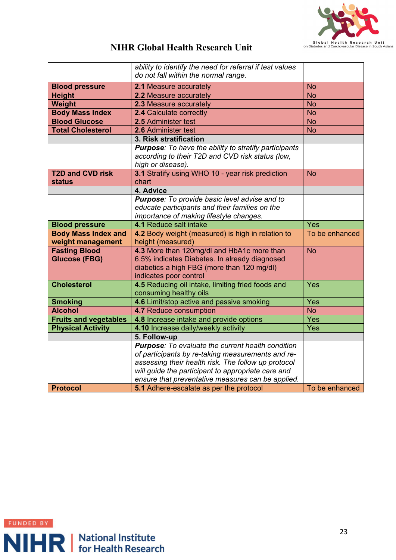

|                              | ability to identify the need for referral if test values                                     |                |
|------------------------------|----------------------------------------------------------------------------------------------|----------------|
|                              | do not fall within the normal range.                                                         |                |
| <b>Blood pressure</b>        | 2.1 Measure accurately                                                                       | <b>No</b>      |
| <b>Height</b>                | 2.2 Measure accurately                                                                       | <b>No</b>      |
| <b>Weight</b>                | 2.3 Measure accurately                                                                       | <b>No</b>      |
| <b>Body Mass Index</b>       | 2.4 Calculate correctly                                                                      | <b>No</b>      |
| <b>Blood Glucose</b>         | 2.5 Administer test                                                                          | <b>No</b>      |
| <b>Total Cholesterol</b>     | 2.6 Administer test                                                                          | <b>No</b>      |
|                              | 3. Risk stratification                                                                       |                |
|                              | <b>Purpose:</b> To have the ability to stratify participants                                 |                |
|                              | according to their T2D and CVD risk status (low,                                             |                |
|                              | high or disease).                                                                            |                |
| <b>T2D and CVD risk</b>      | 3.1 Stratify using WHO 10 - year risk prediction                                             | <b>No</b>      |
| <b>status</b>                | chart                                                                                        |                |
|                              | 4. Advice                                                                                    |                |
|                              | Purpose: To provide basic level advise and to                                                |                |
|                              | educate participants and their families on the                                               |                |
|                              | importance of making lifestyle changes.                                                      |                |
| <b>Blood pressure</b>        | 4.1 Reduce salt intake                                                                       | Yes            |
|                              | 4.2 Body weight (measured) is high in relation to                                            | To be enhanced |
| <b>Body Mass Index and</b>   |                                                                                              |                |
| weight management            | height (measured)                                                                            |                |
| <b>Fasting Blood</b>         | 4.3 More than 120mg/dl and HbA1c more than                                                   | <b>No</b>      |
| <b>Glucose (FBG)</b>         | 6.5% indicates Diabetes. In already diagnosed                                                |                |
|                              | diabetics a high FBG (more than 120 mg/dl)                                                   |                |
|                              | indicates poor control                                                                       |                |
| <b>Cholesterol</b>           | 4.5 Reducing oil intake, limiting fried foods and                                            | Yes            |
|                              | consuming healthy oils                                                                       |                |
| <b>Smoking</b>               | 4.6 Limit/stop active and passive smoking                                                    | Yes            |
| <b>Alcohol</b>               | 4.7 Reduce consumption                                                                       | <b>No</b>      |
| <b>Fruits and vegetables</b> | 4.8 Increase intake and provide options                                                      | Yes            |
| <b>Physical Activity</b>     | 4.10 Increase daily/weekly activity                                                          | Yes            |
|                              | 5. Follow-up                                                                                 |                |
|                              | <b>Purpose:</b> To evaluate the current health condition                                     |                |
|                              | of participants by re-taking measurements and re-                                            |                |
|                              | assessing their health risk. The follow up protocol                                          |                |
|                              | will guide the participant to appropriate care and                                           |                |
| <b>Protocol</b>              | ensure that preventative measures can be applied.<br>5.1 Adhere-escalate as per the protocol | To be enhanced |

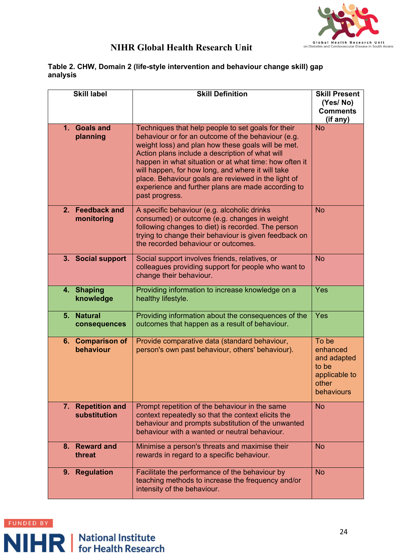

#### **Table 2. CHW, Domain 2 (life-style intervention and behaviour change skill) gap analysis**

| <b>Skill label</b>                             | <b>Skill Definition</b>                                                                                                                                                                                                                                                                                                                                                                                                                                         | <b>Skill Present</b><br>(Yes/No)<br><b>Comments</b><br>(if any)                   |
|------------------------------------------------|-----------------------------------------------------------------------------------------------------------------------------------------------------------------------------------------------------------------------------------------------------------------------------------------------------------------------------------------------------------------------------------------------------------------------------------------------------------------|-----------------------------------------------------------------------------------|
| <b>Goals and</b><br>1 <sub>1</sub><br>planning | Techniques that help people to set goals for their<br>behaviour or for an outcome of the behaviour (e.g.<br>weight loss) and plan how these goals will be met.<br>Action plans include a description of what will<br>happen in what situation or at what time: how often it<br>will happen, for how long, and where it will take<br>place. Behaviour goals are reviewed in the light of<br>experience and further plans are made according to<br>past progress. | <b>No</b>                                                                         |
| 2. Feedback and<br>monitoring                  | A specific behaviour (e.g. alcoholic drinks<br>consumed) or outcome (e.g. changes in weight<br>following changes to diet) is recorded. The person<br>trying to change their behaviour is given feedback on<br>the recorded behaviour or outcomes.                                                                                                                                                                                                               | <b>No</b>                                                                         |
| 3. Social support                              | Social support involves friends, relatives, or<br>colleagues providing support for people who want to<br>change their behaviour.                                                                                                                                                                                                                                                                                                                                | <b>No</b>                                                                         |
| <b>Shaping</b><br>4.<br>knowledge              | Providing information to increase knowledge on a<br>healthy lifestyle.                                                                                                                                                                                                                                                                                                                                                                                          | Yes                                                                               |
| <b>Natural</b><br>5.<br>consequences           | Providing information about the consequences of the<br>outcomes that happen as a result of behaviour.                                                                                                                                                                                                                                                                                                                                                           | Yes                                                                               |
| 6. Comparison of<br>behaviour                  | Provide comparative data (standard behaviour,<br>person's own past behaviour, others' behaviour).                                                                                                                                                                                                                                                                                                                                                               | To be<br>enhanced<br>and adapted<br>to be<br>applicable to<br>other<br>behaviours |
| <b>Repetition and</b><br>7.<br>substitution    | Prompt repetition of the behaviour in the same<br>context repeatedly so that the context elicits the<br>behaviour and prompts substitution of the unwanted<br>behaviour with a wanted or neutral behaviour.                                                                                                                                                                                                                                                     | <b>No</b>                                                                         |
| 8. Reward and<br>threat                        | Minimise a person's threats and maximise their<br>rewards in regard to a specific behaviour.                                                                                                                                                                                                                                                                                                                                                                    | <b>No</b>                                                                         |
| <b>Regulation</b><br>9.                        | Facilitate the performance of the behaviour by<br>teaching methods to increase the frequency and/or<br>intensity of the behaviour.                                                                                                                                                                                                                                                                                                                              | <b>No</b>                                                                         |

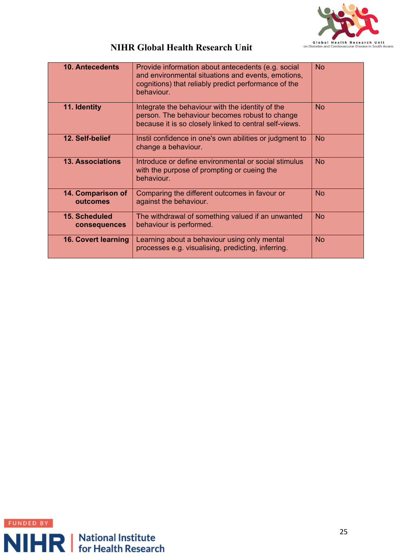

| <b>10. Antecedents</b>               | Provide information about antecedents (e.g. social<br>and environmental situations and events, emotions,<br>cognitions) that reliably predict performance of the<br>behaviour. | <b>No</b> |
|--------------------------------------|--------------------------------------------------------------------------------------------------------------------------------------------------------------------------------|-----------|
| 11. Identity                         | Integrate the behaviour with the identity of the<br>person. The behaviour becomes robust to change<br>because it is so closely linked to central self-views.                   | <b>No</b> |
| 12. Self-belief                      | Instil confidence in one's own abilities or judgment to<br>change a behaviour.                                                                                                 | <b>No</b> |
| <b>13. Associations</b>              | Introduce or define environmental or social stimulus<br>with the purpose of prompting or cueing the<br>behaviour.                                                              | <b>No</b> |
| 14. Comparison of<br>outcomes        | Comparing the different outcomes in favour or<br>against the behaviour.                                                                                                        | <b>No</b> |
| <b>15. Scheduled</b><br>consequences | The withdrawal of something valued if an unwanted<br>behaviour is performed.                                                                                                   | <b>No</b> |
| <b>16. Covert learning</b>           | Learning about a behaviour using only mental<br>processes e.g. visualising, predicting, inferring.                                                                             | <b>No</b> |

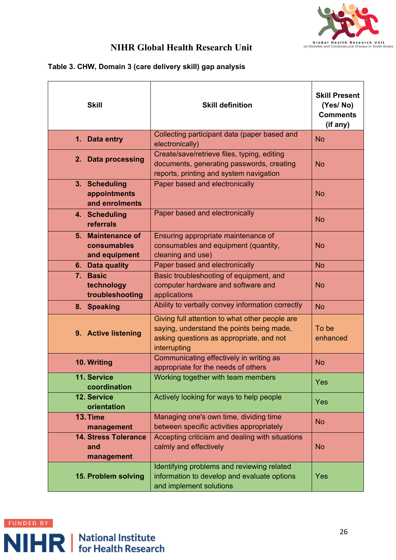

#### **Table 3. CHW, Domain 3 (care delivery skill) gap analysis**

| <b>Skill</b>                                      | <b>Skill definition</b>                                                                                                                                 | <b>Skill Present</b><br>(Yes/No)<br><b>Comments</b><br>(if any) |
|---------------------------------------------------|---------------------------------------------------------------------------------------------------------------------------------------------------------|-----------------------------------------------------------------|
| 1. Data entry                                     | Collecting participant data (paper based and<br>electronically)                                                                                         | <b>No</b>                                                       |
| 2. Data processing                                | Create/save/retrieve files, typing, editing<br>documents, generating passwords, creating<br>reports, printing and system navigation                     | <b>No</b>                                                       |
| 3. Scheduling<br>appointments<br>and enrolments   | Paper based and electronically                                                                                                                          | <b>No</b>                                                       |
| 4. Scheduling<br>referrals                        | Paper based and electronically                                                                                                                          | <b>No</b>                                                       |
| 5. Maintenance of<br>consumables<br>and equipment | Ensuring appropriate maintenance of<br>consumables and equipment (quantity,<br>cleaning and use)                                                        | <b>No</b>                                                       |
| 6. Data quality                                   | Paper based and electronically                                                                                                                          | <b>No</b>                                                       |
| 7. Basic<br>technology<br>troubleshooting         | Basic troubleshooting of equipment, and<br>computer hardware and software and<br>applications                                                           | <b>No</b>                                                       |
| 8. Speaking                                       | Ability to verbally convey information correctly                                                                                                        | <b>No</b>                                                       |
| 9. Active listening                               | Giving full attention to what other people are<br>saying, understand the points being made,<br>asking questions as appropriate, and not<br>interrupting | To be<br>enhanced                                               |
| 10. Writing                                       | Communicating effectively in writing as<br>appropriate for the needs of others                                                                          | <b>No</b>                                                       |
| 11. Service<br>coordination                       | Working together with team members                                                                                                                      | <b>Yes</b>                                                      |
| 12. Service<br>orientation                        | Actively looking for ways to help people                                                                                                                | <b>Yes</b>                                                      |
| 13. Time<br>management                            | Managing one's own time, dividing time<br>between specific activities appropriately                                                                     | <b>No</b>                                                       |
| <b>14. Stress Tolerance</b><br>and<br>management  | Accepting criticism and dealing with situations<br>calmly and effectively                                                                               | <b>No</b>                                                       |
| 15. Problem solving                               | Identifying problems and reviewing related<br>information to develop and evaluate options<br>and implement solutions                                    | <b>Yes</b>                                                      |

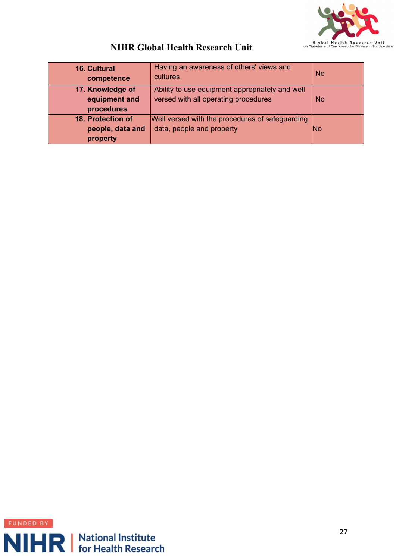

| <b>16. Cultural</b><br>competence                 | Having an awareness of others' views and<br>cultures                                    | <b>No</b> |
|---------------------------------------------------|-----------------------------------------------------------------------------------------|-----------|
| 17. Knowledge of<br>equipment and<br>procedures   | Ability to use equipment appropriately and well<br>versed with all operating procedures | <b>No</b> |
| 18. Protection of<br>people, data and<br>property | Well versed with the procedures of safeguarding<br>data, people and property            | lNo       |

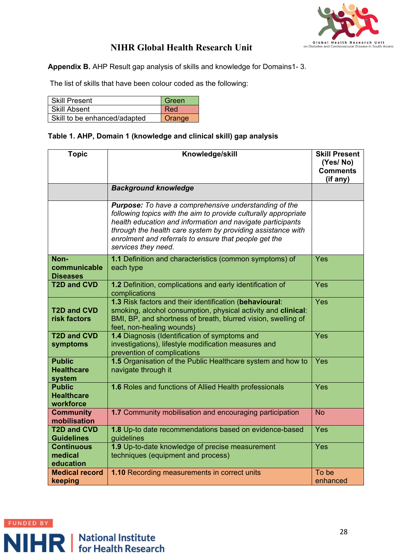

**Appendix B.** AHP Result gap analysis of skills and knowledge for Domains1- 3.

The list of skills that have been colour coded as the following:

| <b>Skill Present</b>         | Green  |
|------------------------------|--------|
| Skill Absent                 | Red    |
| Skill to be enhanced/adapted | Orange |

#### **Table 1. AHP, Domain 1 (knowledge and clinical skill) gap analysis**

| <b>Topic</b>                                    | Knowledge/skill                                                                                                                                                                                                                                                                                                                       | <b>Skill Present</b><br>(Yes/No)<br><b>Comments</b><br>(if any) |
|-------------------------------------------------|---------------------------------------------------------------------------------------------------------------------------------------------------------------------------------------------------------------------------------------------------------------------------------------------------------------------------------------|-----------------------------------------------------------------|
|                                                 | <b>Background knowledge</b>                                                                                                                                                                                                                                                                                                           |                                                                 |
|                                                 | Purpose: To have a comprehensive understanding of the<br>following topics with the aim to provide culturally appropriate<br>health education and information and navigate participants<br>through the health care system by providing assistance with<br>enrolment and referrals to ensure that people get the<br>services they need. |                                                                 |
| Non-<br>communicable<br><b>Diseases</b>         | 1.1 Definition and characteristics (common symptoms) of<br>each type                                                                                                                                                                                                                                                                  | Yes                                                             |
| <b>T2D and CVD</b>                              | 1.2 Definition, complications and early identification of<br>complications                                                                                                                                                                                                                                                            | Yes                                                             |
| <b>T2D and CVD</b><br>risk factors              | 1.3 Risk factors and their identification (behavioural:<br>smoking, alcohol consumption, physical activity and clinical:<br>BMI, BP, and shortness of breath, blurred vision, swelling of<br>feet, non-healing wounds)                                                                                                                | Yes                                                             |
| <b>T2D and CVD</b><br>symptoms                  | 1.4 Diagnosis (Identification of symptoms and<br>investigations), lifestyle modification measures and<br>prevention of complications                                                                                                                                                                                                  | Yes                                                             |
| <b>Public</b><br><b>Healthcare</b><br>system    | 1.5 Organisation of the Public Healthcare system and how to<br>navigate through it                                                                                                                                                                                                                                                    | Yes                                                             |
| <b>Public</b><br><b>Healthcare</b><br>workforce | 1.6 Roles and functions of Allied Health professionals                                                                                                                                                                                                                                                                                | Yes                                                             |
| <b>Community</b><br>mobilisation                | 1.7 Community mobilisation and encouraging participation                                                                                                                                                                                                                                                                              | <b>No</b>                                                       |
| <b>T2D and CVD</b><br><b>Guidelines</b>         | 1.8 Up-to date recommendations based on evidence-based<br>guidelines                                                                                                                                                                                                                                                                  | Yes                                                             |
| <b>Continuous</b><br>medical<br>education       | 1.9 Up-to-date knowledge of precise measurement<br>techniques (equipment and process)                                                                                                                                                                                                                                                 | Yes                                                             |
| <b>Medical record</b><br>keeping                | 1.10 Recording measurements in correct units                                                                                                                                                                                                                                                                                          | To be<br>enhanced                                               |

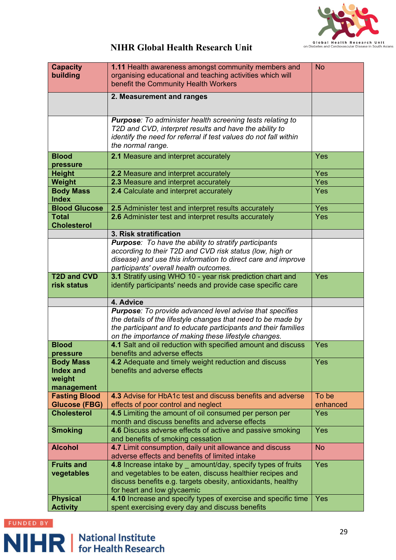

| <b>Capacity</b>                              | 1.11 Health awareness amongst community members and                                                                            | <b>No</b>         |
|----------------------------------------------|--------------------------------------------------------------------------------------------------------------------------------|-------------------|
| building                                     | organising educational and teaching activities which will                                                                      |                   |
|                                              | benefit the Community Health Workers                                                                                           |                   |
|                                              | 2. Measurement and ranges                                                                                                      |                   |
|                                              |                                                                                                                                |                   |
|                                              | <b>Purpose:</b> To administer health screening tests relating to                                                               |                   |
|                                              | T2D and CVD, interpret results and have the ability to                                                                         |                   |
|                                              | identify the need for referral if test values do not fall within<br>the normal range.                                          |                   |
| <b>Blood</b>                                 | 2.1 Measure and interpret accurately                                                                                           | Yes               |
| pressure                                     |                                                                                                                                |                   |
| <b>Height</b>                                | 2.2 Measure and interpret accurately                                                                                           | Yes               |
| Weight                                       | 2.3 Measure and interpret accurately                                                                                           | Yes               |
| <b>Body Mass</b>                             | 2.4 Calculate and interpret accurately                                                                                         | Yes               |
| <b>Index</b>                                 |                                                                                                                                |                   |
| <b>Blood Glucose</b>                         | 2.5 Administer test and interpret results accurately                                                                           | Yes               |
| <b>Total</b><br><b>Cholesterol</b>           | 2.6 Administer test and interpret results accurately                                                                           | <b>Yes</b>        |
|                                              | 3. Risk stratification                                                                                                         |                   |
|                                              | <b>Purpose:</b> To have the ability to stratify participants                                                                   |                   |
|                                              | according to their T2D and CVD risk status (low, high or                                                                       |                   |
|                                              | disease) and use this information to direct care and improve                                                                   |                   |
|                                              | participants' overall health outcomes.                                                                                         |                   |
| <b>T2D and CVD</b><br>risk status            | 3.1 Stratify using WHO 10 - year risk prediction chart and                                                                     | Yes               |
|                                              | identify participants' needs and provide case specific care                                                                    |                   |
|                                              | 4. Advice                                                                                                                      |                   |
|                                              | Purpose: To provide advanced level advise that specifies                                                                       |                   |
|                                              | the details of the lifestyle changes that need to be made by<br>the participant and to educate participants and their families |                   |
|                                              | on the importance of making these lifestyle changes.                                                                           |                   |
| <b>Blood</b>                                 | 4.1 Salt and oil reduction with specified amount and discuss                                                                   | Yes               |
| pressure                                     | benefits and adverse effects                                                                                                   |                   |
| <b>Body Mass</b>                             | 4.2 Adequate and timely weight reduction and discuss                                                                           | Yes               |
| <b>Index and</b>                             | benefits and adverse effects                                                                                                   |                   |
|                                              |                                                                                                                                |                   |
| weight                                       |                                                                                                                                |                   |
| management                                   |                                                                                                                                |                   |
| <b>Fasting Blood</b><br><b>Glucose (FBG)</b> | 4.3 Advise for HbA1c test and discuss benefits and adverse                                                                     | To be<br>enhanced |
| <b>Cholesterol</b>                           | effects of poor control and neglect<br>4.5 Limiting the amount of oil consumed per person per                                  | Yes               |
|                                              | month and discuss benefits and adverse effects                                                                                 |                   |
| <b>Smoking</b>                               | 4.6 Discuss adverse effects of active and passive smoking                                                                      | <b>Yes</b>        |
|                                              | and benefits of smoking cessation                                                                                              |                   |
| <b>Alcohol</b>                               | 4.7 Limit consumption, daily unit allowance and discuss                                                                        | <b>No</b>         |
| <b>Fruits and</b>                            | adverse effects and benefits of limited intake<br>4.8 Increase intake by amount/day, specify types of fruits                   | <b>Yes</b>        |
| vegetables                                   | and vegetables to be eaten, discuss healthier recipes and                                                                      |                   |
|                                              | discuss benefits e.g. targets obesity, antioxidants, healthy                                                                   |                   |
| <b>Physical</b>                              | for heart and low glycaemic<br>4.10 Increase and specify types of exercise and specific time                                   | <b>Yes</b>        |

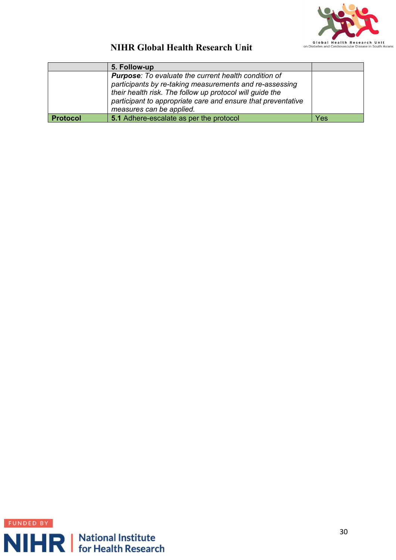

|                 | 5. Follow-up                                                                                                                                                                                                                                                                   |     |
|-----------------|--------------------------------------------------------------------------------------------------------------------------------------------------------------------------------------------------------------------------------------------------------------------------------|-----|
|                 | <b>Purpose:</b> To evaluate the current health condition of<br>participants by re-taking measurements and re-assessing<br>their health risk. The follow up protocol will guide the<br>participant to appropriate care and ensure that preventative<br>measures can be applied. |     |
| <b>Protocol</b> | 5.1 Adhere-escalate as per the protocol                                                                                                                                                                                                                                        | Yes |

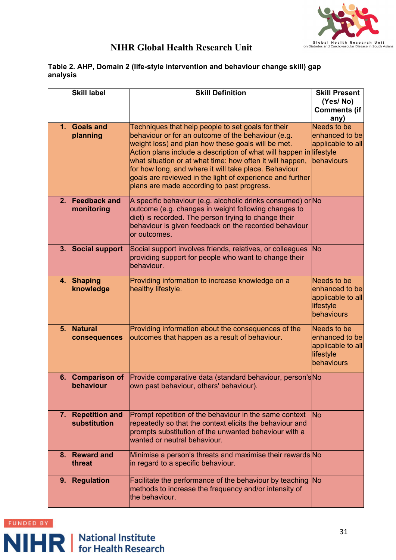

#### **Table 2. AHP, Domain 2 (life-style intervention and behaviour change skill) gap analysis**

|                | <b>Skill label</b>      | <b>Skill Definition</b>                                                                                                | <b>Skill Present</b>                 |
|----------------|-------------------------|------------------------------------------------------------------------------------------------------------------------|--------------------------------------|
|                |                         |                                                                                                                        | (Yes/No)                             |
|                |                         |                                                                                                                        | <b>Comments (if</b>                  |
|                |                         |                                                                                                                        | any)                                 |
|                | 1. Goals and            | Techniques that help people to set goals for their                                                                     | Needs to be                          |
|                | planning                | behaviour or for an outcome of the behaviour (e.g.                                                                     | enhanced to be                       |
|                |                         | weight loss) and plan how these goals will be met.                                                                     | applicable to all                    |
|                |                         | Action plans include a description of what will happen in<br>what situation or at what time: how often it will happen, | lifestyle<br>behaviours              |
|                |                         | for how long, and where it will take place. Behaviour                                                                  |                                      |
|                |                         | goals are reviewed in the light of experience and further                                                              |                                      |
|                |                         | plans are made according to past progress.                                                                             |                                      |
|                |                         |                                                                                                                        |                                      |
| 2 <sub>1</sub> | <b>Feedback and</b>     | A specific behaviour (e.g. alcoholic drinks consumed) or No                                                            |                                      |
|                | monitoring              | outcome (e.g. changes in weight following changes to                                                                   |                                      |
|                |                         | diet) is recorded. The person trying to change their                                                                   |                                      |
|                |                         | behaviour is given feedback on the recorded behaviour                                                                  |                                      |
|                |                         | or outcomes.                                                                                                           |                                      |
|                | 3. Social support       | Social support involves friends, relatives, or colleagues                                                              | No                                   |
|                |                         | providing support for people who want to change their                                                                  |                                      |
|                |                         | behaviour.                                                                                                             |                                      |
|                |                         |                                                                                                                        |                                      |
|                | 4. Shaping<br>knowledge | Providing information to increase knowledge on a<br>healthy lifestyle.                                                 | <b>Needs to be</b><br>enhanced to be |
|                |                         |                                                                                                                        | applicable to all                    |
|                |                         |                                                                                                                        | lifestyle                            |
|                |                         |                                                                                                                        | behaviours                           |
|                |                         |                                                                                                                        |                                      |
| 5 <sub>1</sub> | <b>Natural</b>          | Providing information about the consequences of the                                                                    | Needs to be                          |
|                | consequences            | outcomes that happen as a result of behaviour.                                                                         | enhanced to be                       |
|                |                         |                                                                                                                        | applicable to all                    |
|                |                         |                                                                                                                        | lifestyle<br>behaviours              |
|                |                         |                                                                                                                        |                                      |
|                | 6. Comparison of        | Provide comparative data (standard behaviour, person's No                                                              |                                      |
|                | behaviour               | own past behaviour, others' behaviour).                                                                                |                                      |
|                |                         |                                                                                                                        |                                      |
|                |                         |                                                                                                                        |                                      |
|                | 7. Repetition and       | Prompt repetition of the behaviour in the same context                                                                 | No                                   |
|                | substitution            | repeatedly so that the context elicits the behaviour and                                                               |                                      |
|                |                         | prompts substitution of the unwanted behaviour with a                                                                  |                                      |
|                |                         | wanted or neutral behaviour.                                                                                           |                                      |
|                | 8. Reward and           | Minimise a person's threats and maximise their rewards No                                                              |                                      |
|                | threat                  | in regard to a specific behaviour.                                                                                     |                                      |
|                |                         |                                                                                                                        |                                      |
| 9.             | <b>Regulation</b>       | Facilitate the performance of the behaviour by teaching                                                                | <b>No</b>                            |
|                |                         | methods to increase the frequency and/or intensity of                                                                  |                                      |
|                |                         | the behaviour.                                                                                                         |                                      |

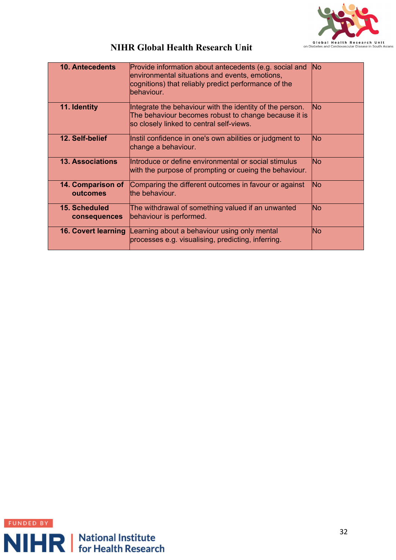

| <b>10. Antecedents</b>               | Provide information about antecedents (e.g. social and<br>environmental situations and events, emotions,<br>cognitions) that reliably predict performance of the<br>behaviour. | <b>No</b> |
|--------------------------------------|--------------------------------------------------------------------------------------------------------------------------------------------------------------------------------|-----------|
| 11. Identity                         | Integrate the behaviour with the identity of the person.<br>The behaviour becomes robust to change because it is<br>so closely linked to central self-views.                   | lNo.      |
| 12. Self-belief                      | Instil confidence in one's own abilities or judgment to<br>change a behaviour.                                                                                                 | <b>No</b> |
| <b>13. Associations</b>              | Introduce or define environmental or social stimulus<br>with the purpose of prompting or cueing the behaviour.                                                                 | lNo       |
| 14. Comparison of<br>outcomes        | Comparing the different outcomes in favour or against<br>the behaviour.                                                                                                        | lNo.      |
| <b>15. Scheduled</b><br>consequences | The withdrawal of something valued if an unwanted<br>behaviour is performed.                                                                                                   | lNo       |
| <b>16. Covert learning</b>           | Learning about a behaviour using only mental<br>processes e.g. visualising, predicting, inferring.                                                                             | <b>No</b> |

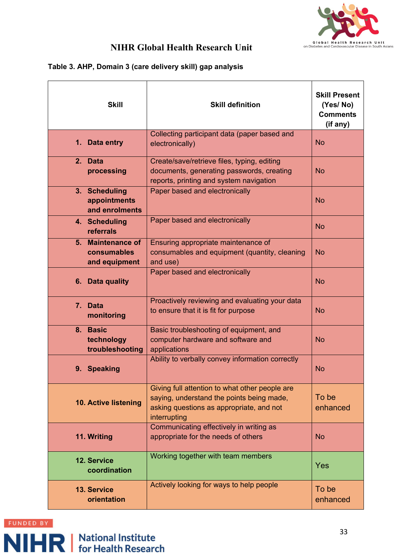

#### **Table 3. AHP, Domain 3 (care delivery skill) gap analysis**

| <b>Skill</b>                                      | <b>Skill definition</b>                                                                                                                                 | <b>Skill Present</b><br>(Yes/No)<br><b>Comments</b><br>(if any) |
|---------------------------------------------------|---------------------------------------------------------------------------------------------------------------------------------------------------------|-----------------------------------------------------------------|
| 1. Data entry                                     | Collecting participant data (paper based and<br>electronically)                                                                                         | <b>No</b>                                                       |
| 2. Data<br>processing                             | Create/save/retrieve files, typing, editing<br>documents, generating passwords, creating<br>reports, printing and system navigation                     | <b>No</b>                                                       |
| 3. Scheduling<br>appointments<br>and enrolments   | Paper based and electronically                                                                                                                          | <b>No</b>                                                       |
| 4. Scheduling<br>referrals                        | Paper based and electronically                                                                                                                          | <b>No</b>                                                       |
| 5. Maintenance of<br>consumables<br>and equipment | Ensuring appropriate maintenance of<br>consumables and equipment (quantity, cleaning<br>and use)                                                        | <b>No</b>                                                       |
| 6. Data quality                                   | Paper based and electronically                                                                                                                          | <b>No</b>                                                       |
| 7. Data<br>monitoring                             | Proactively reviewing and evaluating your data<br>to ensure that it is fit for purpose                                                                  | <b>No</b>                                                       |
| 8. Basic<br>technology<br>troubleshooting         | Basic troubleshooting of equipment, and<br>computer hardware and software and<br>applications                                                           | <b>No</b>                                                       |
| 9. Speaking                                       | Ability to verbally convey information correctly                                                                                                        | <b>No</b>                                                       |
| <b>10. Active listening</b>                       | Giving full attention to what other people are<br>saying, understand the points being made,<br>asking questions as appropriate, and not<br>interrupting | To be<br>enhanced                                               |
| 11. Writing                                       | Communicating effectively in writing as<br>appropriate for the needs of others                                                                          | <b>No</b>                                                       |
| 12. Service<br>coordination                       | Working together with team members                                                                                                                      | <b>Yes</b>                                                      |
| <b>13. Service</b><br>orientation                 | Actively looking for ways to help people                                                                                                                | To be<br>enhanced                                               |

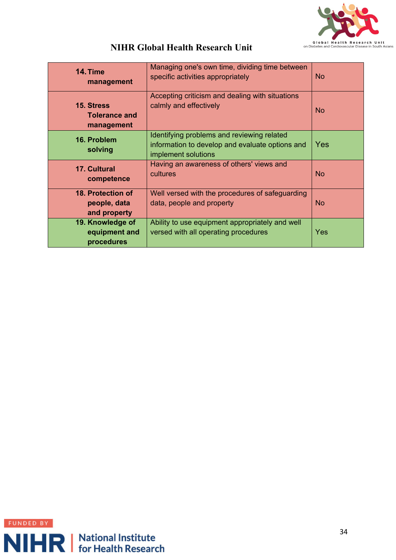

| 14. Time<br>management                            | Managing one's own time, dividing time between<br>specific activities appropriately                                  | <b>No</b>  |
|---------------------------------------------------|----------------------------------------------------------------------------------------------------------------------|------------|
| 15. Stress<br><b>Tolerance and</b><br>management  | Accepting criticism and dealing with situations<br>calmly and effectively                                            | <b>No</b>  |
| 16. Problem<br>solving                            | Identifying problems and reviewing related<br>information to develop and evaluate options and<br>implement solutions | <b>Yes</b> |
| <b>17. Cultural</b><br>competence                 | Having an awareness of others' views and<br>cultures                                                                 | <b>No</b>  |
| 18. Protection of<br>people, data<br>and property | Well versed with the procedures of safeguarding<br>data, people and property                                         | <b>No</b>  |
| 19. Knowledge of<br>equipment and<br>procedures   | Ability to use equipment appropriately and well<br>versed with all operating procedures                              | Yes        |

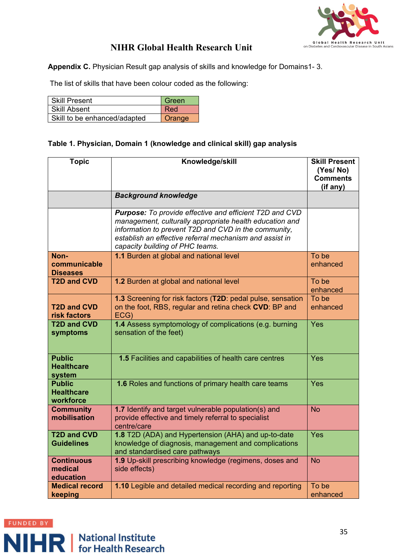

**Appendix C.** Physician Result gap analysis of skills and knowledge for Domains1- 3.

The list of skills that have been colour coded as the following:

| <b>Skill Present</b>         | Green  |
|------------------------------|--------|
| Skill Absent                 | Red    |
| Skill to be enhanced/adapted | Orange |

#### **Table 1. Physician, Domain 1 (knowledge and clinical skill) gap analysis**

| <b>Topic</b>                                    | Knowledge/skill                                                                                                                                                                                                                                                          | <b>Skill Present</b><br>(Yes/No)<br><b>Comments</b><br>(if any) |
|-------------------------------------------------|--------------------------------------------------------------------------------------------------------------------------------------------------------------------------------------------------------------------------------------------------------------------------|-----------------------------------------------------------------|
|                                                 | <b>Background knowledge</b>                                                                                                                                                                                                                                              |                                                                 |
|                                                 | Purpose: To provide effective and efficient T2D and CVD<br>management, culturally appropriate health education and<br>information to prevent T2D and CVD in the community,<br>establish an effective referral mechanism and assist in<br>capacity building of PHC teams. |                                                                 |
| Non-<br>communicable<br><b>Diseases</b>         | 1.1 Burden at global and national level                                                                                                                                                                                                                                  | To be<br>enhanced                                               |
| <b>T2D and CVD</b>                              | 1.2 Burden at global and national level                                                                                                                                                                                                                                  | To be<br>enhanced                                               |
| <b>T2D and CVD</b><br>risk factors              | 1.3 Screening for risk factors (T2D: pedal pulse, sensation<br>on the foot, RBS, regular and retina check CVD: BP and<br>ECG)                                                                                                                                            | To be<br>enhanced                                               |
| <b>T2D and CVD</b><br>symptoms                  | 1.4 Assess symptomology of complications (e.g. burning<br>sensation of the feet)                                                                                                                                                                                         | Yes                                                             |
| <b>Public</b><br><b>Healthcare</b><br>system    | 1.5 Facilities and capabilities of health care centres                                                                                                                                                                                                                   | Yes                                                             |
| <b>Public</b><br><b>Healthcare</b><br>workforce | 1.6 Roles and functions of primary health care teams                                                                                                                                                                                                                     | Yes                                                             |
| <b>Community</b><br>mobilisation                | 1.7 Identify and target vulnerable population(s) and<br>provide effective and timely referral to specialist<br>centre/care                                                                                                                                               | <b>No</b>                                                       |
| <b>T2D and CVD</b><br><b>Guidelines</b>         | 1.8 T2D (ADA) and Hypertension (AHA) and up-to-date<br>knowledge of diagnosis, management and complications<br>and standardised care pathways                                                                                                                            | Yes                                                             |
| <b>Continuous</b><br>medical<br>education       | 1.9 Up-skill prescribing knowledge (regimens, doses and<br>side effects)                                                                                                                                                                                                 | <b>No</b>                                                       |
| <b>Medical record</b><br>keeping                | 1.10 Legible and detailed medical recording and reporting                                                                                                                                                                                                                | To be<br>enhanced                                               |

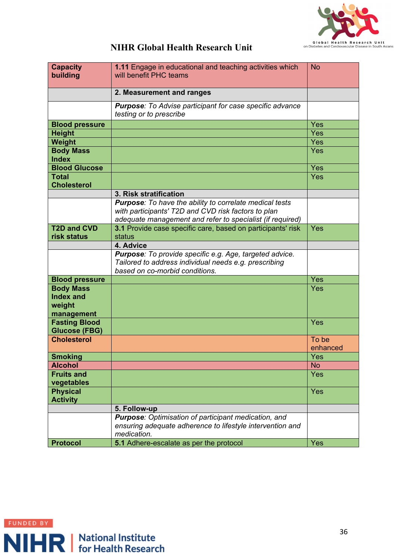

| <b>Capacity</b>       | 1.11 Engage in educational and teaching activities which        | <b>No</b>  |
|-----------------------|-----------------------------------------------------------------|------------|
| building              | will benefit PHC teams                                          |            |
|                       |                                                                 |            |
|                       |                                                                 |            |
|                       | 2. Measurement and ranges                                       |            |
|                       | <b>Purpose:</b> To Advise participant for case specific advance |            |
|                       | testing or to prescribe                                         |            |
| <b>Blood pressure</b> |                                                                 | Yes        |
|                       |                                                                 |            |
| <b>Height</b>         |                                                                 | Yes        |
| <b>Weight</b>         |                                                                 | Yes        |
| <b>Body Mass</b>      |                                                                 | Yes        |
| <b>Index</b>          |                                                                 |            |
| <b>Blood Glucose</b>  |                                                                 | Yes        |
| <b>Total</b>          |                                                                 | <b>Yes</b> |
| <b>Cholesterol</b>    |                                                                 |            |
|                       | 3. Risk stratification                                          |            |
|                       | Purpose: To have the ability to correlate medical tests         |            |
|                       | with participants' T2D and CVD risk factors to plan             |            |
|                       | adequate management and refer to specialist (if required)       |            |
| <b>T2D and CVD</b>    | 3.1 Provide case specific care, based on participants' risk     | Yes        |
|                       |                                                                 |            |
| risk status           | status                                                          |            |
|                       | 4. Advice                                                       |            |
|                       | Purpose: To provide specific e.g. Age, targeted advice.         |            |
|                       | Tailored to address individual needs e.g. prescribing           |            |
|                       | based on co-morbid conditions.                                  |            |
| <b>Blood pressure</b> |                                                                 | Yes        |
| <b>Body Mass</b>      |                                                                 | Yes        |
| <b>Index and</b>      |                                                                 |            |
| weight                |                                                                 |            |
| management            |                                                                 |            |
| <b>Fasting Blood</b>  |                                                                 | Yes        |
| <b>Glucose (FBG)</b>  |                                                                 |            |
| <b>Cholesterol</b>    |                                                                 | To be      |
|                       |                                                                 | enhanced   |
|                       |                                                                 |            |
| <b>Smoking</b>        |                                                                 | Yes        |
| <b>Alcohol</b>        |                                                                 | <b>No</b>  |
| <b>Fruits and</b>     |                                                                 | Yes        |
| vegetables            |                                                                 |            |
| <b>Physical</b>       |                                                                 | Yes        |
| <b>Activity</b>       |                                                                 |            |
|                       | 5. Follow-up                                                    |            |
|                       | Purpose: Optimisation of participant medication, and            |            |
|                       | ensuring adequate adherence to lifestyle intervention and       |            |
|                       | medication.                                                     |            |
| <b>Protocol</b>       | 5.1 Adhere-escalate as per the protocol                         | Yes        |
|                       |                                                                 |            |

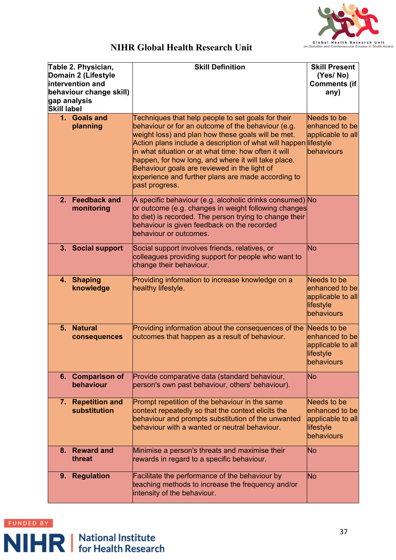

| Table 2. Physician,<br>Domain 2 (Lifestyle<br>intervention and<br>behaviour change skill)<br>gap analysis<br><b>Skill label</b> |                                       | <b>Skill Definition</b>                                                                                                                                                                                                                                                                                                                                                                                                                                                   | <b>Skill Present</b><br>(Yes/No)<br><b>Comments (if</b><br>any)               |
|---------------------------------------------------------------------------------------------------------------------------------|---------------------------------------|---------------------------------------------------------------------------------------------------------------------------------------------------------------------------------------------------------------------------------------------------------------------------------------------------------------------------------------------------------------------------------------------------------------------------------------------------------------------------|-------------------------------------------------------------------------------|
|                                                                                                                                 | 1. Goals and<br>planning              | Techniques that help people to set goals for their<br>behaviour or for an outcome of the behaviour (e.g.<br>weight loss) and plan how these goals will be met.<br>Action plans include a description of what will happen lifestyle<br>in what situation or at what time: how often it will<br>happen, for how long, and where it will take place.<br>Behaviour goals are reviewed in the light of<br>experience and further plans are made according to<br>past progress. | Needs to be<br>enhanced to be<br>applicable to all<br>behaviours              |
| $2_{-}$                                                                                                                         | <b>Feedback and</b><br>monitoring     | A specific behaviour (e.g. alcoholic drinks consumed) No<br>or outcome (e.g. changes in weight following changes<br>to diet) is recorded. The person trying to change their<br>behaviour is given feedback on the recorded<br>behaviour or outcomes.                                                                                                                                                                                                                      |                                                                               |
|                                                                                                                                 | 3. Social support                     | Social support involves friends, relatives, or<br>colleagues providing support for people who want to<br>change their behaviour.                                                                                                                                                                                                                                                                                                                                          | No                                                                            |
|                                                                                                                                 | 4. Shaping<br>knowledge               | Providing information to increase knowledge on a<br>healthy lifestyle.                                                                                                                                                                                                                                                                                                                                                                                                    | Needs to be<br>enhanced to be<br>applicable to all<br>lifestyle<br>behaviours |
| 5.                                                                                                                              | <b>Natural</b><br>consequences        | Providing information about the consequences of the<br>outcomes that happen as a result of behaviour.                                                                                                                                                                                                                                                                                                                                                                     | Needs to be<br>enhanced to be<br>applicable to all<br>lifestyle<br>behaviours |
|                                                                                                                                 | 6. Comparison of<br>behaviour         | Provide comparative data (standard behaviour,<br>person's own past behaviour, others' behaviour).                                                                                                                                                                                                                                                                                                                                                                         | No                                                                            |
| 7.                                                                                                                              | <b>Repetition and</b><br>substitution | Prompt repetition of the behaviour in the same<br>context repeatedly so that the context elicits the<br>behaviour and prompts substitution of the unwanted<br>behaviour with a wanted or neutral behaviour.                                                                                                                                                                                                                                                               | Needs to be<br>enhanced to be<br>applicable to all<br>lifestyle<br>behaviours |
| 8.                                                                                                                              | <b>Reward and</b><br>threat           | Minimise a person's threats and maximise their<br>rewards in regard to a specific behaviour.                                                                                                                                                                                                                                                                                                                                                                              | No                                                                            |
|                                                                                                                                 | 9. Regulation                         | Facilitate the performance of the behaviour by<br>teaching methods to increase the frequency and/or<br>intensity of the behaviour.                                                                                                                                                                                                                                                                                                                                        | No                                                                            |

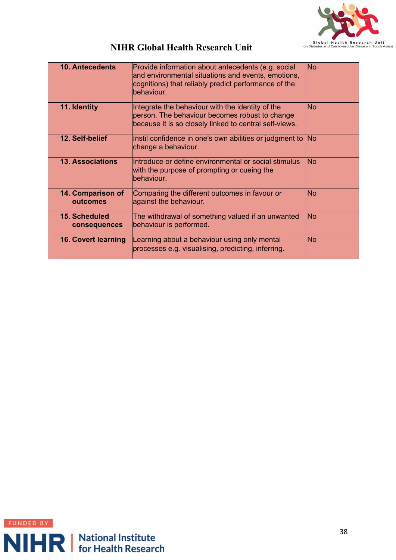

| <b>10. Antecedents</b>               | Provide information about antecedents (e.g. social<br>and environmental situations and events, emotions,<br>cognitions) that reliably predict performance of the<br>behaviour. | <b>No</b> |
|--------------------------------------|--------------------------------------------------------------------------------------------------------------------------------------------------------------------------------|-----------|
| 11. Identity                         | Integrate the behaviour with the identity of the<br>person. The behaviour becomes robust to change<br>because it is so closely linked to central self-views.                   | <b>No</b> |
| 12. Self-belief                      | Instil confidence in one's own abilities or judgment to<br>change a behaviour.                                                                                                 | No        |
| <b>13. Associations</b>              | Introduce or define environmental or social stimulus<br>with the purpose of prompting or cueing the<br>behaviour.                                                              | <b>No</b> |
| 14. Comparison of<br>outcomes        | Comparing the different outcomes in favour or<br>against the behaviour.                                                                                                        | <b>No</b> |
| <b>15. Scheduled</b><br>consequences | The withdrawal of something valued if an unwanted<br>behaviour is performed.                                                                                                   | <b>No</b> |
| <b>16. Covert learning</b>           | Learning about a behaviour using only mental<br>processes e.g. visualising, predicting, inferring.                                                                             | <b>No</b> |